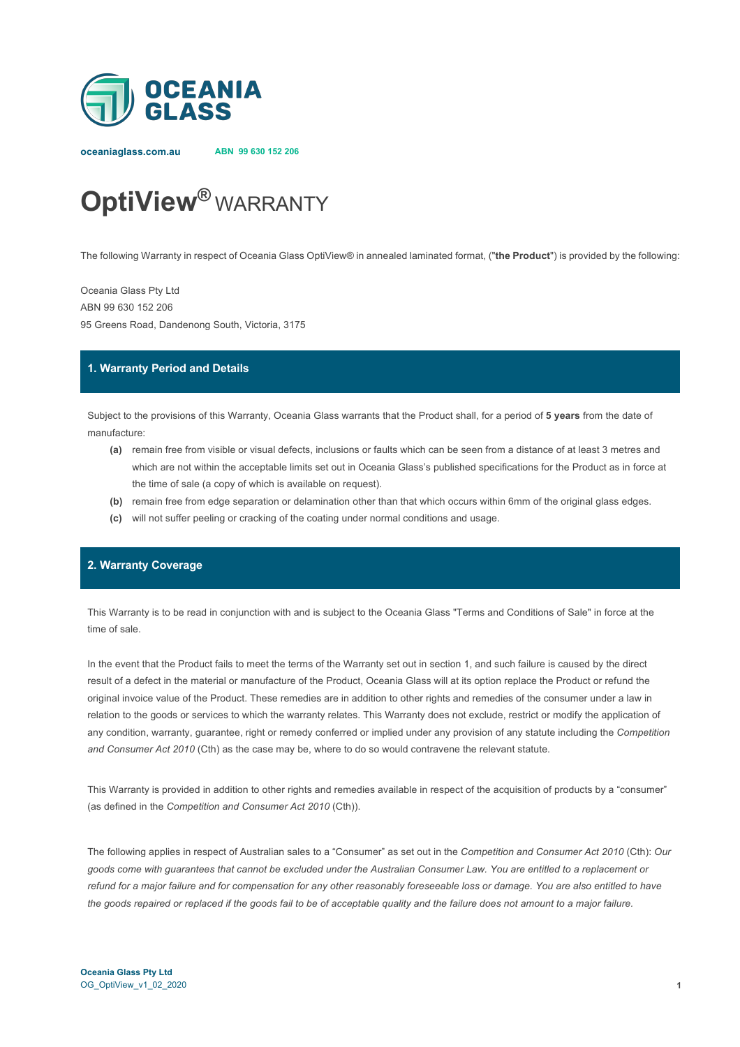

**oceaniaglass.com.au ABN 99 630 152 206**

# **OptiView®** WARRANTY

The following Warranty in respect of Oceania Glass OptiView® in annealed laminated format, ("**the Product**") is provided by the following:

Oceania Glass Pty Ltd ABN 99 630 152 206 95 Greens Road, Dandenong South, Victoria, 3175

#### **1. Warranty Period and Details**

Subject to the provisions of this Warranty, Oceania Glass warrants that the Product shall, for a period of **5 years** from the date of manufacture:

- **(a)** remain free from visible or visual defects, inclusions or faults which can be seen from a distance of at least 3 metres and which are not within the acceptable limits set out in Oceania Glass's published specifications for the Product as in force at the time of sale (a copy of which is available on request).
- **(b)** remain free from edge separation or delamination other than that which occurs within 6mm of the original glass edges.
- **(c)** will not suffer peeling or cracking of the coating under normal conditions and usage.

# **2. Warranty Coverage**

This Warranty is to be read in conjunction with and is subject to the Oceania Glass "Terms and Conditions of Sale" in force at the time of sale.

In the event that the Product fails to meet the terms of the Warranty set out in section 1, and such failure is caused by the direct result of a defect in the material or manufacture of the Product, Oceania Glass will at its option replace the Product or refund the original invoice value of the Product. These remedies are in addition to other rights and remedies of the consumer under a law in relation to the goods or services to which the warranty relates. This Warranty does not exclude, restrict or modify the application of any condition, warranty, guarantee, right or remedy conferred or implied under any provision of any statute including the *Competition and Consumer Act 2010* (Cth) as the case may be, where to do so would contravene the relevant statute.

This Warranty is provided in addition to other rights and remedies available in respect of the acquisition of products by a "consumer" (as defined in the *Competition and Consumer Act 2010* (Cth)).

The following applies in respect of Australian sales to a "Consumer" as set out in the *Competition and Consumer Act 2010* (Cth): *Our goods come with guarantees that cannot be excluded under the Australian Consumer Law. You are entitled to a replacement or refund for a major failure and for compensation for any other reasonably foreseeable loss or damage. You are also entitled to have the goods repaired or replaced if the goods fail to be of acceptable quality and the failure does not amount to a major failure.*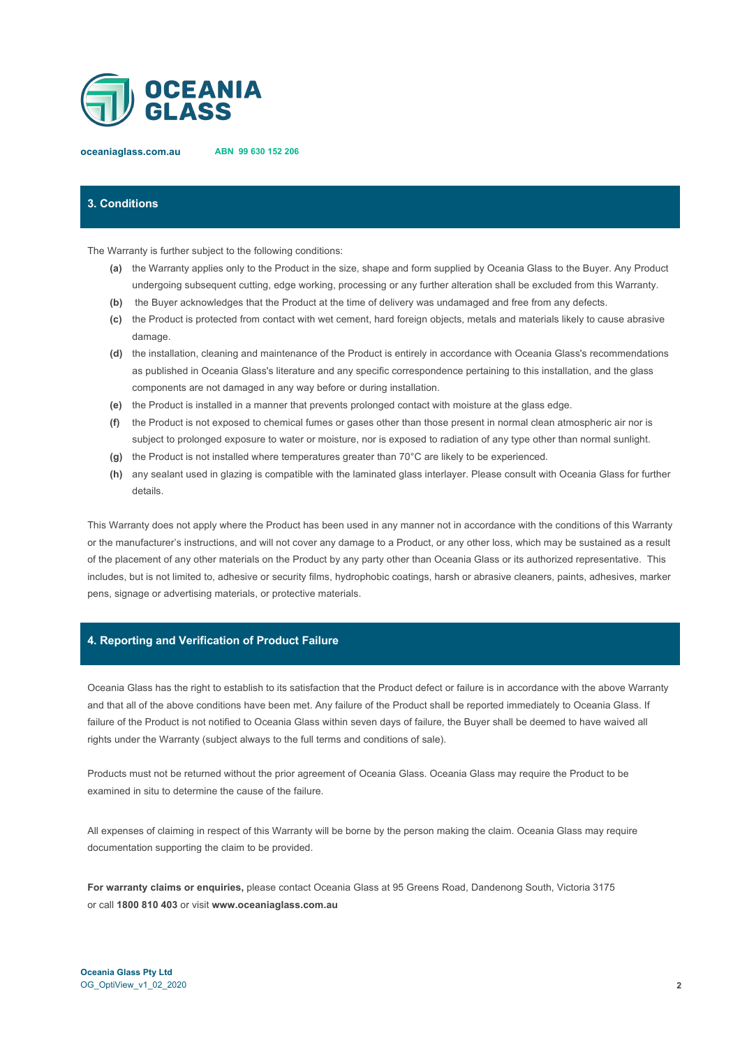

**oceaniaglass.com.au ABN 99 630 152 206**

## **3. Conditions**

The Warranty is further subject to the following conditions:

- **(a)** the Warranty applies only to the Product in the size, shape and form supplied by Oceania Glass to the Buyer. Any Product undergoing subsequent cutting, edge working, processing or any further alteration shall be excluded from this Warranty.
- **(b)** the Buyer acknowledges that the Product at the time of delivery was undamaged and free from any defects.
- **(c)** the Product is protected from contact with wet cement, hard foreign objects, metals and materials likely to cause abrasive damage.
- **(d)** the installation, cleaning and maintenance of the Product is entirely in accordance with Oceania Glass's recommendations as published in Oceania Glass's literature and any specific correspondence pertaining to this installation, and the glass components are not damaged in any way before or during installation.
- **(e)** the Product is installed in a manner that prevents prolonged contact with moisture at the glass edge.
- **(f)** the Product is not exposed to chemical fumes or gases other than those present in normal clean atmospheric air nor is subject to prolonged exposure to water or moisture, nor is exposed to radiation of any type other than normal sunlight.
- **(g)** the Product is not installed where temperatures greater than 70°C are likely to be experienced.
- **(h)** any sealant used in glazing is compatible with the laminated glass interlayer. Please consult with Oceania Glass for further details.

This Warranty does not apply where the Product has been used in any manner not in accordance with the conditions of this Warranty or the manufacturer's instructions, and will not cover any damage to a Product, or any other loss, which may be sustained as a result of the placement of any other materials on the Product by any party other than Oceania Glass or its authorized representative. This includes, but is not limited to, adhesive or security films, hydrophobic coatings, harsh or abrasive cleaners, paints, adhesives, marker pens, signage or advertising materials, or protective materials.

#### **4. Reporting and Verification of Product Failure**

Oceania Glass has the right to establish to its satisfaction that the Product defect or failure is in accordance with the above Warranty and that all of the above conditions have been met. Any failure of the Product shall be reported immediately to Oceania Glass. If failure of the Product is not notified to Oceania Glass within seven days of failure, the Buyer shall be deemed to have waived all rights under the Warranty (subject always to the full terms and conditions of sale).

Products must not be returned without the prior agreement of Oceania Glass. Oceania Glass may require the Product to be examined in situ to determine the cause of the failure.

All expenses of claiming in respect of this Warranty will be borne by the person making the claim. Oceania Glass may require documentation supporting the claim to be provided.

**For warranty claims or enquiries,** please contact Oceania Glass at 95 Greens Road, Dandenong South, Victoria 3175 or call **1800 810 403** or visit **www.oceaniaglass.com.au**